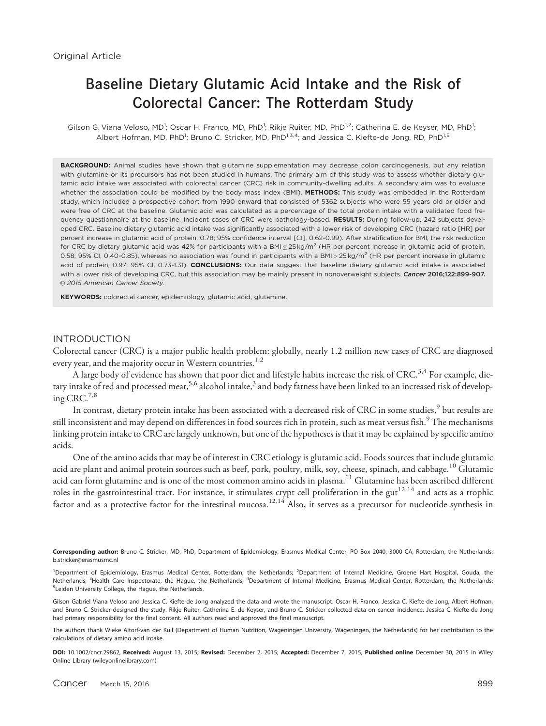# Baseline Dietary Glutamic Acid Intake and the Risk of Colorectal Cancer: The Rotterdam Study

Gilson G. Viana Veloso, MD<sup>1</sup>; Oscar H. Franco, MD, PhD<sup>1</sup>; Rikje Ruiter, MD, PhD<sup>1,2</sup>; Catherina E. de Keyser, MD, PhD<sup>1</sup>; Albert Hofman, MD, PhD<sup>1</sup>; Bruno C. Stricker, MD, PhD<sup>1,3,4</sup>; and Jessica C. Kiefte-de Jong, RD, PhD<sup>1,5</sup>

BACKGROUND: Animal studies have shown that glutamine supplementation may decrease colon carcinogenesis, but any relation with glutamine or its precursors has not been studied in humans. The primary aim of this study was to assess whether dietary glutamic acid intake was associated with colorectal cancer (CRC) risk in community-dwelling adults. A secondary aim was to evaluate whether the association could be modified by the body mass index (BMI). METHODS: This study was embedded in the Rotterdam study, which included a prospective cohort from 1990 onward that consisted of 5362 subjects who were 55 years old or older and were free of CRC at the baseline. Glutamic acid was calculated as a percentage of the total protein intake with a validated food frequency questionnaire at the baseline. Incident cases of CRC were pathology-based. RESULTS: During follow-up, 242 subjects developed CRC. Baseline dietary glutamic acid intake was significantly associated with a lower risk of developing CRC (hazard ratio [HR] per percent increase in glutamic acid of protein, 0.78; 95% confidence interval [CI], 0.62-0.99). After stratification for BMI, the risk reduction for CRC by dietary glutamic acid was 42% for participants with a BMI $\leq$ 25 kg/m $^2$  (HR per percent increase in glutamic acid of protein, 0.58; 95% CI, 0.40-0.85), whereas no association was found in participants with a BMI $>$ 25 kg/m<sup>2</sup> (HR per percent increase in glutamic acid of protein, 0.97; 95% CI, 0.73-1.31). CONCLUSIONS: Our data suggest that baseline dietary glutamic acid intake is associated with a lower risk of developing CRC, but this association may be mainly present in nonoverweight subjects. Cancer 2016;122:899-907. © 2015 American Cancer Society.

KEYWORDS: colorectal cancer, epidemiology, glutamic acid, glutamine.

#### INTRODUCTION

Colorectal cancer (CRC) is a major public health problem: globally, nearly 1.2 million new cases of CRC are diagnosed every year, and the majority occur in Western countries.<sup>1,2</sup>

A large body of evidence has shown that poor diet and lifestyle habits increase the risk of CRC.<sup>3,4</sup> For example, dietary intake of red and processed meat,<sup>5,6</sup> alcohol intake,<sup>3</sup> and body fatness have been linked to an increased risk of developing CRC. $^{7,8}$ 

In contrast, dietary protein intake has been associated with a decreased risk of CRC in some studies,<sup>9</sup> but results are still inconsistent and may depend on differences in food sources rich in protein, such as meat versus fish.<sup>9</sup> The mechanisms linking protein intake to CRC are largely unknown, but one of the hypotheses is that it may be explained by specific amino acids.

One of the amino acids that may be of interest in CRC etiology is glutamic acid. Foods sources that include glutamic acid are plant and animal protein sources such as beef, pork, poultry, milk, soy, cheese, spinach, and cabbage.<sup>10</sup> Glutamic acid can form glutamine and is one of the most common amino acids in plasma.<sup>11</sup> Glutamine has been ascribed different roles in the gastrointestinal tract. For instance, it stimulates crypt cell proliferation in the gut<sup>12-14</sup> and acts as a trophic factor and as a protective factor for the intestinal mucosa.<sup>12,14</sup> Also, it serves as a precursor for nucleotide synthesis in

Corresponding author: Bruno C. Stricker, MD, PhD, Department of Epidemiology, Erasmus Medical Center, PO Box 2040, 3000 CA, Rotterdam, the Netherlands; b.stricker@erasmusmc.nl

<sup>1</sup>Department of Epidemiology, Erasmus Medical Center, Rotterdam, the Netherlands; <sup>2</sup>Department of Internal Medicine, Groene Hart Hospital, Gouda, the Netherlands; <sup>3</sup>Health Care Inspectorate, the Hague, the Netherlands; <sup>4</sup>Department of Internal Medicine, Erasmus Medical Center, Rotterdam, the Netherlands; <sup>5</sup> Leiden University College, the Hague, the Netherlands.

Gilson Gabriel Viana Veloso and Jessica C. Kiefte-de Jong analyzed the data and wrote the manuscript. Oscar H. Franco, Jessica C. Kiefte-de Jong, Albert Hofman, and Bruno C. Stricker designed the study. Rikje Ruiter, Catherina E. de Keyser, and Bruno C. Stricker collected data on cancer incidence. Jessica C. Kiefte-de Jong had primary responsibility for the final content. All authors read and approved the final manuscript.

The authors thank Wieke Altorf-van der Kuil (Department of Human Nutrition, Wageningen University, Wageningen, the Netherlands) for her contribution to the calculations of dietary amino acid intake.

DOI: 10.1002/cncr.29862, Received: August 13, 2015; Revised: December 2, 2015; Accepted: December 7, 2015, Published online December 30, 2015 in Wiley Online Library (wileyonlinelibrary.com)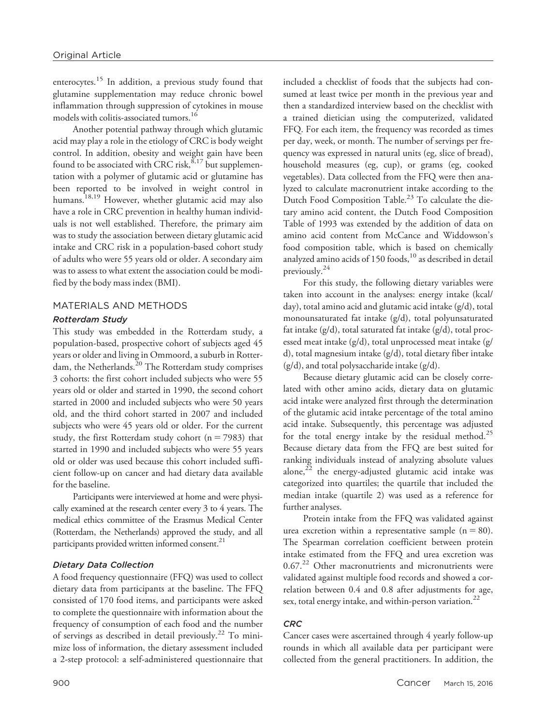enterocytes.<sup>15</sup> In addition, a previous study found that glutamine supplementation may reduce chronic bowel inflammation through suppression of cytokines in mouse models with colitis-associated tumors.16

Another potential pathway through which glutamic acid may play a role in the etiology of CRC is body weight control. In addition, obesity and weight gain have been found to be associated with CRC risk,  $8,17$  but supplementation with a polymer of glutamic acid or glutamine has been reported to be involved in weight control in humans.<sup>18,19</sup> However, whether glutamic acid may also have a role in CRC prevention in healthy human individuals is not well established. Therefore, the primary aim was to study the association between dietary glutamic acid intake and CRC risk in a population-based cohort study of adults who were 55 years old or older. A secondary aim was to assess to what extent the association could be modified by the body mass index (BMI).

# MATERIALS AND METHODS

# Rotterdam Study

This study was embedded in the Rotterdam study, a population-based, prospective cohort of subjects aged 45 years or older and living in Ommoord, a suburb in Rotterdam, the Netherlands. $20$  The Rotterdam study comprises 3 cohorts: the first cohort included subjects who were 55 years old or older and started in 1990, the second cohort started in 2000 and included subjects who were 50 years old, and the third cohort started in 2007 and included subjects who were 45 years old or older. For the current study, the first Rotterdam study cohort ( $n = 7983$ ) that started in 1990 and included subjects who were 55 years old or older was used because this cohort included sufficient follow-up on cancer and had dietary data available for the baseline.

Participants were interviewed at home and were physically examined at the research center every 3 to 4 years. The medical ethics committee of the Erasmus Medical Center (Rotterdam, the Netherlands) approved the study, and all participants provided written informed consent.<sup>21</sup>

## Dietary Data Collection

A food frequency questionnaire (FFQ) was used to collect dietary data from participants at the baseline. The FFQ consisted of 170 food items, and participants were asked to complete the questionnaire with information about the frequency of consumption of each food and the number of servings as described in detail previously.22 To minimize loss of information, the dietary assessment included a 2-step protocol: a self-administered questionnaire that included a checklist of foods that the subjects had consumed at least twice per month in the previous year and then a standardized interview based on the checklist with a trained dietician using the computerized, validated FFQ. For each item, the frequency was recorded as times per day, week, or month. The number of servings per frequency was expressed in natural units (eg, slice of bread), household measures (eg, cup), or grams (eg, cooked vegetables). Data collected from the FFQ were then analyzed to calculate macronutrient intake according to the Dutch Food Composition Table.<sup>23</sup> To calculate the dietary amino acid content, the Dutch Food Composition Table of 1993 was extended by the addition of data on amino acid content from McCance and Widdowson's food composition table, which is based on chemically analyzed amino acids of 150 foods,<sup>10</sup> as described in detail previously.24

For this study, the following dietary variables were taken into account in the analyses: energy intake (kcal/ day), total amino acid and glutamic acid intake (g/d), total monounsaturated fat intake (g/d), total polyunsaturated fat intake (g/d), total saturated fat intake (g/d), total processed meat intake (g/d), total unprocessed meat intake (g/ d), total magnesium intake (g/d), total dietary fiber intake  $(g/d)$ , and total polysaccharide intake  $(g/d)$ .

Because dietary glutamic acid can be closely correlated with other amino acids, dietary data on glutamic acid intake were analyzed first through the determination of the glutamic acid intake percentage of the total amino acid intake. Subsequently, this percentage was adjusted for the total energy intake by the residual method.<sup>25</sup> Because dietary data from the FFQ are best suited for ranking individuals instead of analyzing absolute values alone, $^{22}$  the energy-adjusted glutamic acid intake was categorized into quartiles; the quartile that included the median intake (quartile 2) was used as a reference for further analyses.

Protein intake from the FFQ was validated against urea excretion within a representative sample  $(n = 80)$ . The Spearman correlation coefficient between protein intake estimated from the FFQ and urea excretion was 0.67.<sup>22</sup> Other macronutrients and micronutrients were validated against multiple food records and showed a correlation between 0.4 and 0.8 after adjustments for age, sex, total energy intake, and within-person variation. $^{22}$ 

## **CRC**

Cancer cases were ascertained through 4 yearly follow-up rounds in which all available data per participant were collected from the general practitioners. In addition, the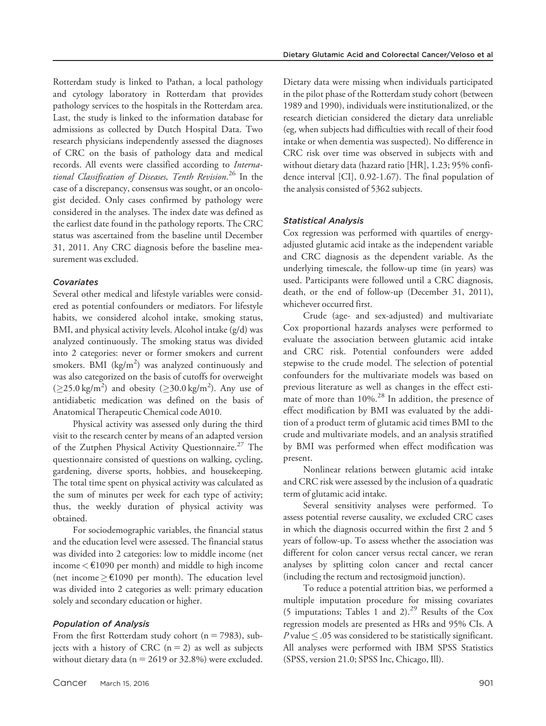Rotterdam study is linked to Pathan, a local pathology and cytology laboratory in Rotterdam that provides pathology services to the hospitals in the Rotterdam area. Last, the study is linked to the information database for admissions as collected by Dutch Hospital Data. Two research physicians independently assessed the diagnoses of CRC on the basis of pathology data and medical records. All events were classified according to International Classification of Diseases, Tenth Revision.<sup>26</sup> In the case of a discrepancy, consensus was sought, or an oncologist decided. Only cases confirmed by pathology were considered in the analyses. The index date was defined as the earliest date found in the pathology reports. The CRC status was ascertained from the baseline until December 31, 2011. Any CRC diagnosis before the baseline measurement was excluded.

### Covariates

Several other medical and lifestyle variables were considered as potential confounders or mediators. For lifestyle habits, we considered alcohol intake, smoking status, BMI, and physical activity levels. Alcohol intake (g/d) was analyzed continuously. The smoking status was divided into 2 categories: never or former smokers and current smokers. BMI (kg/m<sup>2</sup>) was analyzed continuously and was also categorized on the basis of cutoffs for overweight  $(\geq 25.0 \text{ kg/m}^2)$  and obesity  $(\geq 30.0 \text{ kg/m}^2)$ . Any use of antidiabetic medication was defined on the basis of Anatomical Therapeutic Chemical code A010.

Physical activity was assessed only during the third visit to the research center by means of an adapted version of the Zutphen Physical Activity Questionnaire.<sup>27</sup> The questionnaire consisted of questions on walking, cycling, gardening, diverse sports, hobbies, and housekeeping. The total time spent on physical activity was calculated as the sum of minutes per week for each type of activity; thus, the weekly duration of physical activity was obtained.

For sociodemographic variables, the financial status and the education level were assessed. The financial status was divided into 2 categories: low to middle income (net income  $\lt$  €1090 per month) and middle to high income (net income  $\geq \text{\textsterling}1090$  per month). The education level was divided into 2 categories as well: primary education solely and secondary education or higher.

#### Population of Analysis

From the first Rotterdam study cohort ( $n = 7983$ ), subjects with a history of CRC  $(n = 2)$  as well as subjects without dietary data ( $n = 2619$  or 32.8%) were excluded. Dietary data were missing when individuals participated in the pilot phase of the Rotterdam study cohort (between 1989 and 1990), individuals were institutionalized, or the research dietician considered the dietary data unreliable (eg, when subjects had difficulties with recall of their food intake or when dementia was suspected). No difference in CRC risk over time was observed in subjects with and without dietary data (hazard ratio [HR], 1.23; 95% confidence interval [CI], 0.92-1.67). The final population of the analysis consisted of 5362 subjects.

#### Statistical Analysis

Cox regression was performed with quartiles of energyadjusted glutamic acid intake as the independent variable and CRC diagnosis as the dependent variable. As the underlying timescale, the follow-up time (in years) was used. Participants were followed until a CRC diagnosis, death, or the end of follow-up (December 31, 2011), whichever occurred first.

Crude (age- and sex-adjusted) and multivariate Cox proportional hazards analyses were performed to evaluate the association between glutamic acid intake and CRC risk. Potential confounders were added stepwise to the crude model. The selection of potential confounders for the multivariate models was based on previous literature as well as changes in the effect estimate of more than  $10\%$ <sup>28</sup> In addition, the presence of effect modification by BMI was evaluated by the addition of a product term of glutamic acid times BMI to the crude and multivariate models, and an analysis stratified by BMI was performed when effect modification was present.

Nonlinear relations between glutamic acid intake and CRC risk were assessed by the inclusion of a quadratic term of glutamic acid intake.

Several sensitivity analyses were performed. To assess potential reverse causality, we excluded CRC cases in which the diagnosis occurred within the first 2 and 5 years of follow-up. To assess whether the association was different for colon cancer versus rectal cancer, we reran analyses by splitting colon cancer and rectal cancer (including the rectum and rectosigmoid junction).

To reduce a potential attrition bias, we performed a multiple imputation procedure for missing covariates (5 imputations; Tables 1 and 2).<sup>29</sup> Results of the Cox regression models are presented as HRs and 95% CIs. A *P* value  $\leq$  .05 was considered to be statistically significant. All analyses were performed with IBM SPSS Statistics (SPSS, version 21.0; SPSS Inc, Chicago, Ill).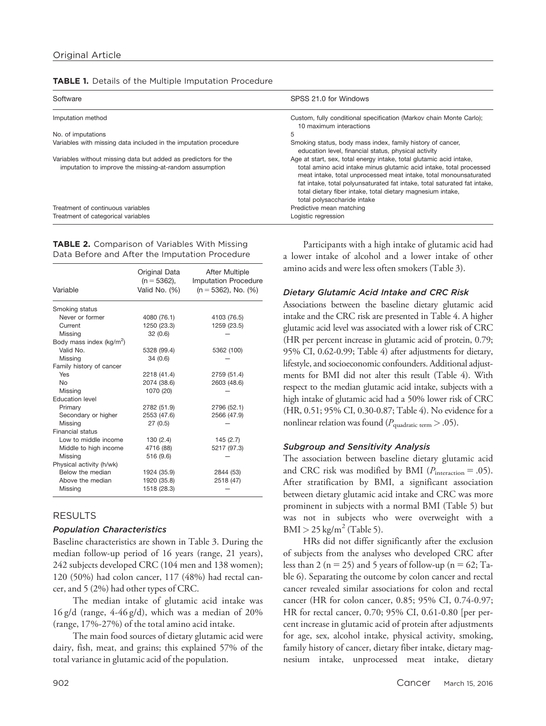| Software                                                                                                                 | SPSS 21.0 for Windows                                                                                                                                                                                                                                                                                                                                                                      |
|--------------------------------------------------------------------------------------------------------------------------|--------------------------------------------------------------------------------------------------------------------------------------------------------------------------------------------------------------------------------------------------------------------------------------------------------------------------------------------------------------------------------------------|
| Imputation method                                                                                                        | Custom, fully conditional specification (Markov chain Monte Carlo);<br>10 maximum interactions                                                                                                                                                                                                                                                                                             |
| No. of imputations                                                                                                       | 5                                                                                                                                                                                                                                                                                                                                                                                          |
| Variables with missing data included in the imputation procedure                                                         | Smoking status, body mass index, family history of cancer,<br>education level, financial status, physical activity                                                                                                                                                                                                                                                                         |
| Variables without missing data but added as predictors for the<br>imputation to improve the missing-at-random assumption | Age at start, sex, total energy intake, total glutamic acid intake,<br>total amino acid intake minus glutamic acid intake, total processed<br>meat intake, total unprocessed meat intake, total monounsaturated<br>fat intake, total polyunsaturated fat intake, total saturated fat intake,<br>total dietary fiber intake, total dietary magnesium intake,<br>total polysaccharide intake |
| Treatment of continuous variables                                                                                        | Predictive mean matching                                                                                                                                                                                                                                                                                                                                                                   |
| Treatment of categorical variables                                                                                       | Logistic regression                                                                                                                                                                                                                                                                                                                                                                        |

TABLE 2. Comparison of Variables With Missing Data Before and After the Imputation Procedure

| Variable                             | Original Data<br>(n = 5362),<br>Valid No. (%) | <b>After Multiple</b><br><b>Imputation Procedure</b><br>$(n = 5362)$ , No. $(%)$ |
|--------------------------------------|-----------------------------------------------|----------------------------------------------------------------------------------|
| Smoking status                       |                                               |                                                                                  |
| Never or former                      | 4080 (76.1)                                   | 4103 (76.5)                                                                      |
| Current                              | 1250 (23.3)                                   | 1259 (23.5)                                                                      |
| Missing                              | 32(0.6)                                       |                                                                                  |
| Body mass index (kg/m <sup>2</sup> ) |                                               |                                                                                  |
| Valid No.                            | 5328 (99.4)                                   | 5362 (100)                                                                       |
| Missing                              | 34(0.6)                                       |                                                                                  |
| Family history of cancer             |                                               |                                                                                  |
| Yes                                  | 2218 (41.4)                                   | 2759 (51.4)                                                                      |
| <b>No</b>                            | 2074 (38.6)                                   | 2603 (48.6)                                                                      |
| Missing                              | 1070 (20)                                     |                                                                                  |
| <b>Education level</b>               |                                               |                                                                                  |
| Primary                              | 2782 (51.9)                                   | 2796 (52.1)                                                                      |
| Secondary or higher                  | 2553 (47.6)                                   | 2566 (47.9)                                                                      |
| Missing                              | 27(0.5)                                       |                                                                                  |
| Financial status                     |                                               |                                                                                  |
| Low to middle income                 | 130(2.4)                                      | 145 (2.7)                                                                        |
| Middle to high income                | 4716 (88)                                     | 5217 (97.3)                                                                      |
| Missing                              | 516 (9.6)                                     |                                                                                  |
| Physical activity (h/wk)             |                                               |                                                                                  |
| Below the median                     | 1924 (35.9)                                   | 2844 (53)                                                                        |
| Above the median                     | 1920 (35.8)                                   | 2518 (47)                                                                        |
| Missing                              | 1518 (28.3)                                   |                                                                                  |

# RESULTS

### Population Characteristics

Baseline characteristics are shown in Table 3. During the median follow-up period of 16 years (range, 21 years), 242 subjects developed CRC (104 men and 138 women); 120 (50%) had colon cancer, 117 (48%) had rectal cancer, and 5 (2%) had other types of CRC.

The median intake of glutamic acid intake was  $16 \text{ g/d}$  (range,  $4-46 \text{ g/d}$ ), which was a median of  $20\%$ (range, 17%-27%) of the total amino acid intake.

The main food sources of dietary glutamic acid were dairy, fish, meat, and grains; this explained 57% of the total variance in glutamic acid of the population.

Participants with a high intake of glutamic acid had a lower intake of alcohol and a lower intake of other amino acids and were less often smokers (Table 3).

## Dietary Glutamic Acid Intake and CRC Risk

Associations between the baseline dietary glutamic acid intake and the CRC risk are presented in Table 4. A higher glutamic acid level was associated with a lower risk of CRC (HR per percent increase in glutamic acid of protein, 0.79; 95% CI, 0.62-0.99; Table 4) after adjustments for dietary, lifestyle, and socioeconomic confounders. Additional adjustments for BMI did not alter this result (Table 4). With respect to the median glutamic acid intake, subjects with a high intake of glutamic acid had a 50% lower risk of CRC (HR, 0.51; 95% CI, 0.30-0.87; Table 4). No evidence for a nonlinear relation was found ( $P_{\text{quadratic term}} > .05$ ).

## Subgroup and Sensitivity Analysis

The association between baseline dietary glutamic acid and CRC risk was modified by BMI ( $P_{\text{interaction}} = .05$ ). After stratification by BMI, a significant association between dietary glutamic acid intake and CRC was more prominent in subjects with a normal BMI (Table 5) but was not in subjects who were overweight with a  $BMI > 25 \text{ kg/m}^2$  (Table 5).

HRs did not differ significantly after the exclusion of subjects from the analyses who developed CRC after less than 2 ( $n = 25$ ) and 5 years of follow-up ( $n = 62$ ; Table 6). Separating the outcome by colon cancer and rectal cancer revealed similar associations for colon and rectal cancer (HR for colon cancer, 0.85; 95% CI, 0.74-0.97; HR for rectal cancer, 0.70; 95% CI, 0.61-0.80 [per percent increase in glutamic acid of protein after adjustments for age, sex, alcohol intake, physical activity, smoking, family history of cancer, dietary fiber intake, dietary magnesium intake, unprocessed meat intake, dietary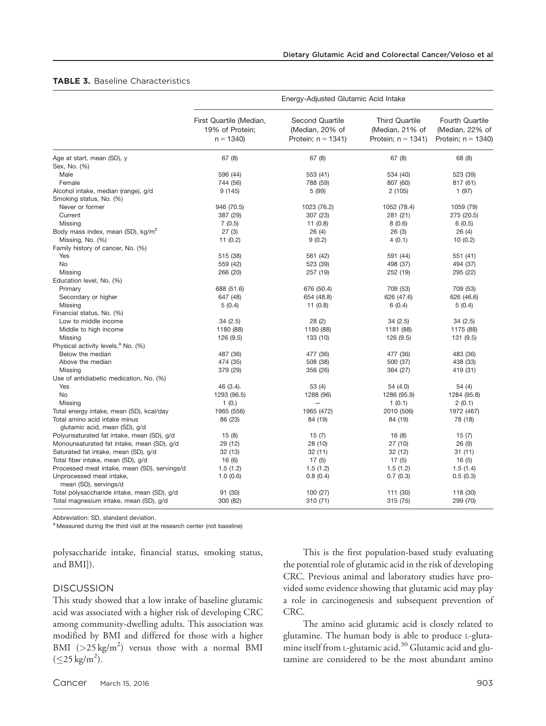### TABLE 3. Baseline Characteristics

|                                                                | Energy-Adjusted Glutamic Acid Intake                     |                                                             |                                                                   |                                                                  |
|----------------------------------------------------------------|----------------------------------------------------------|-------------------------------------------------------------|-------------------------------------------------------------------|------------------------------------------------------------------|
|                                                                | First Quartile (Median,<br>19% of Protein;<br>$n = 1340$ | Second Quartile<br>(Median, 20% of<br>Protein; $n = 1341$ ) | <b>Third Quartile</b><br>(Median, 21% of<br>Protein; $n = 1341$ ) | <b>Fourth Quartile</b><br>(Median, 22% of<br>Protein; $n = 1340$ |
| Age at start, mean (SD), y                                     | 67(8)                                                    | 67(8)                                                       | 67(8)                                                             | 68 (8)                                                           |
| Sex, No. (%)                                                   |                                                          |                                                             |                                                                   |                                                                  |
| Male                                                           | 596 (44)                                                 | 553 (41)                                                    | 534 (40)                                                          | 523 (39)                                                         |
| Female                                                         | 744 (56)                                                 | 788 (59)                                                    | 807 (60)                                                          | 817 (61)                                                         |
| Alcohol intake, median (range), g/d                            | 9(145)                                                   | 5 (99)                                                      | 2(105)                                                            | 1(97)                                                            |
| Smoking status, No. (%)                                        |                                                          |                                                             |                                                                   |                                                                  |
| Never or former                                                | 946 (70.5)                                               | 1023 (76.2)                                                 | 1052 (78.4)                                                       | 1059 (79)                                                        |
| Current                                                        | 387 (29)                                                 | 307 (23)                                                    | 281 (21)                                                          | 275 (20.5)                                                       |
| Missing                                                        | 7(0.5)                                                   | 11(0.8)                                                     | 8(0.6)                                                            | 6(0.5)                                                           |
| Body mass index, mean (SD), kg/m <sup>2</sup>                  | 27(3)                                                    | 26(4)                                                       | 26(3)                                                             | 26(4)                                                            |
| Missing, No. (%)                                               | 11 (0.2)                                                 | 9(0.2)                                                      | 4(0.1)                                                            | 10(0.2)                                                          |
| Family history of cancer, No. (%)                              |                                                          |                                                             |                                                                   |                                                                  |
| Yes                                                            | 515 (38)                                                 | 561 (42)                                                    | 591 (44)                                                          | 551 (41)                                                         |
| No                                                             | 559 (42)                                                 | 523 (39)                                                    | 498 (37)                                                          | 494 (37)                                                         |
| Missing                                                        | 266 (20)                                                 | 257 (19)                                                    | 252 (19)                                                          | 295 (22)                                                         |
| Education level, No. (%)                                       |                                                          |                                                             |                                                                   |                                                                  |
| Primary                                                        | 688 (51.6)                                               | 676 (50.4)                                                  | 709 (53)                                                          | 709 (53)                                                         |
| Secondary or higher                                            | 647 (48)                                                 | 654 (48.8)                                                  | 626 (47.6)                                                        | 626 (46.6)                                                       |
| Missing                                                        | 5(0.4)                                                   | 11(0.8)                                                     | 6(0.4)                                                            | 5(0.4)                                                           |
| Financial status, No. (%)                                      |                                                          |                                                             |                                                                   |                                                                  |
| Low to middle income                                           | 34(2.5)                                                  | 28(2)                                                       | 34(2.5)                                                           | 34(2.5)                                                          |
| Middle to high income                                          | 1180 (88)                                                | 1180 (88)                                                   | 1181 (88)                                                         | 1175 (88)                                                        |
| Missing                                                        | 126 (9.5)                                                | 133 (10)                                                    | 126 (9.5)                                                         | 131 (9.5)                                                        |
| Physical activity levels, <sup>a</sup> No. (%)                 |                                                          |                                                             |                                                                   |                                                                  |
| Below the median                                               | 487 (36)                                                 | 477 (36)                                                    | 477 (36)                                                          | 483 (36)                                                         |
| Above the median                                               | 474 (35)                                                 | 508 (38)                                                    | 500 (37)                                                          | 438 (33)                                                         |
| Missing                                                        | 379 (29)                                                 | 356 (26)                                                    | 364 (27)                                                          | 419 (31)                                                         |
| Use of antidiabetic medication, No. (%)                        |                                                          |                                                             |                                                                   |                                                                  |
| Yes                                                            | 46 (3.4).                                                | 53 (4)                                                      | 54 (4.0)                                                          | 54 (4)                                                           |
| No                                                             | 1293 (96.5)                                              | 1288 (96)                                                   | 1286 (95.9)                                                       | 1284 (95.8)                                                      |
| Missing                                                        | 1(0.)                                                    |                                                             | 1(0.1)                                                            | 2(0.1)                                                           |
| Total energy intake, mean (SD), kcal/day                       | 1965 (556)                                               | 1965 (472)                                                  | 2010 (506)                                                        | 1972 (467)                                                       |
| Total amino acid intake minus<br>glutamic acid, mean (SD), g/d | 86 (23)                                                  | 84 (19)                                                     | 84 (19)                                                           | 78 (18)                                                          |
| Polyunsaturated fat intake, mean (SD), g/d                     | 15(8)                                                    | 15(7)                                                       | 16(8)                                                             | 15(7)                                                            |
| Monounsaturated fat intake, mean (SD), g/d                     | 29 (12)                                                  | 28 (10)                                                     | 27(10)                                                            | 26(9)                                                            |
| Saturated fat intake, mean (SD), g/d                           | 32 (13)                                                  | 32(11)                                                      | 32 (12)                                                           | 31 (11)                                                          |
| Total fiber intake, mean (SD), g/d                             | 16(6)                                                    | 17(5)                                                       | 17(5)                                                             | 16(5)                                                            |
| Processed meat intake, mean (SD), servings/d                   | 1.5(1.2)                                                 | 1.5(1.2)                                                    | 1.5(1.2)                                                          | 1.5(1.4)                                                         |
| Unprocessed meat intake,                                       | 1.0(0.6)                                                 | 0.8(0.4)                                                    | 0.7(0.3)                                                          | 0.5(0.3)                                                         |
| mean (SD), servings/d                                          |                                                          |                                                             |                                                                   |                                                                  |
| Total polysaccharide intake, mean (SD), g/d                    | 91 (30)                                                  | 100 (27)                                                    | 111 (30)                                                          | 118 (30)                                                         |
| Total magnesium intake, mean (SD), g/d                         | 300 (82)                                                 | 310 (71)                                                    | 315 (75)                                                          | 299 (70)                                                         |

Abbreviation: SD, standard deviation.

a Measured during the third visit at the research center (not baseline)

polysaccharide intake, financial status, smoking status, and BMI]).

### **DISCUSSION**

This study showed that a low intake of baseline glutamic acid was associated with a higher risk of developing CRC among community-dwelling adults. This association was modified by BMI and differed for those with a higher BMI  $(>25 \text{ kg/m}^2)$  versus those with a normal BMI  $(\leq$ 25 kg/m<sup>2</sup>).

This is the first population-based study evaluating the potential role of glutamic acid in the risk of developing CRC. Previous animal and laboratory studies have provided some evidence showing that glutamic acid may play a role in carcinogenesis and subsequent prevention of CRC.

The amino acid glutamic acid is closely related to glutamine. The human body is able to produce L-glutamine itself from L-glutamic acid.30 Glutamic acid and glutamine are considered to be the most abundant amino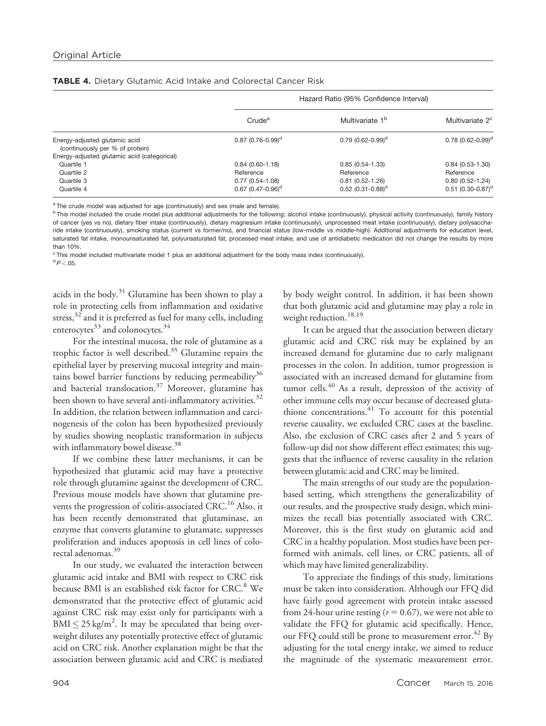|                                                                  |                                 | Hazard Ratio (95% Confidence Interval) |                                 |
|------------------------------------------------------------------|---------------------------------|----------------------------------------|---------------------------------|
|                                                                  | Crude <sup>a</sup>              | Multivariate 1 <sup>b</sup>            | Multivariate 2 <sup>c</sup>     |
| Energy-adjusted glutamic acid<br>(continuously per % of protein) | $0.87(0.76-0.99)^d$             | $0.79(0.62 - 0.99)^d$                  | $0.78$ (0.62-0.99) <sup>d</sup> |
| Energy-adjusted glutamic acid (categorical)                      |                                 |                                        |                                 |
| Quartile 1                                                       | $0.84(0.60 - 1.18)$             | $0.85(0.54 - 1.33)$                    | $0.84(0.53 - 1.30)$             |
| Quartile 2                                                       | Reference                       | Reference                              | Reference                       |
| Quartile 3                                                       | $0.77(0.54 - 1.08)$             | $0.81(0.52 - 1.26)$                    | $0.80(0.52 - 1.24)$             |
| Quartile 4                                                       | $0.67$ (0.47-0.96) <sup>d</sup> | $0.52$ (0.31-0.88) <sup>d</sup>        | $0.51$ (0.30-0.87) <sup>d</sup> |

TABLE 4. Dietary Glutamic Acid Intake and Colorectal Cancer Risk

<sup>a</sup> The crude model was adjusted for age (continuously) and sex (male and female).

<sup>b</sup> This model included the crude model plus additional adjustments for the following: alcohol intake (continuously), physical activity (continuously), family history of cancer (yes vs no), dietary fiber intake (continuously), dietary magnesium intake (continuously), unprocessed meat intake (continuously), dietary polysaccharide intake (continuously), smoking status (current vs former/no), and financial status (low-middle vs middle-high). Additional adjustments for education level, saturated fat intake, monounsaturated fat, polyunsaturated fat, processed meat intake, and use of antidiabetic medication did not change the results by more than 10%.

<sup>c</sup> This model included multivariate model 1 plus an additional adjustment for the body mass index (continuously).

 $\rm ^{d}P<.05.$ 

acids in the body.31 Glutamine has been shown to play a role in protecting cells from inflammation and oxidative stress, $3^{2}$  and it is preferred as fuel for many cells, including enterocytes $^{33}$  and colonocytes. $^{34}$ 

For the intestinal mucosa, the role of glutamine as a trophic factor is well described.<sup>35</sup> Glutamine repairs the epithelial layer by preserving mucosal integrity and maintains bowel barrier functions by reducing permeability<sup>36</sup> and bacterial translocation.<sup>37</sup> Moreover, glutamine has been shown to have several anti-inflammatory activities.<sup>32</sup> In addition, the relation between inflammation and carcinogenesis of the colon has been hypothesized previously by studies showing neoplastic transformation in subjects with inflammatory bowel disease.<sup>38</sup>

If we combine these latter mechanisms, it can be hypothesized that glutamic acid may have a protective role through glutamine against the development of CRC. Previous mouse models have shown that glutamine prevents the progression of colitis-associated CRC.<sup>16</sup> Also, it has been recently demonstrated that glutaminase, an enzyme that converts glutamine to glutamate, suppresses proliferation and induces apoptosis in cell lines of colorectal adenomas.39

In our study, we evaluated the interaction between glutamic acid intake and BMI with respect to CRC risk because BMI is an established risk factor for CRC.<sup>8</sup> We demonstrated that the protective effect of glutamic acid against CRC risk may exist only for participants with a  $\text{BMI} \leq 25 \text{ kg/m}^2$ . It may be speculated that being overweight dilutes any potentially protective effect of glutamic acid on CRC risk. Another explanation might be that the association between glutamic acid and CRC is mediated by body weight control. In addition, it has been shown that both glutamic acid and glutamine may play a role in weight reduction.<sup>18,19</sup>

It can be argued that the association between dietary glutamic acid and CRC risk may be explained by an increased demand for glutamine due to early malignant processes in the colon. In addition, tumor progression is associated with an increased demand for glutamine from tumor cells.<sup>40</sup> As a result, depression of the activity of other immune cells may occur because of decreased glutathione concentrations.  $41$  To account for this potential reverse causality, we excluded CRC cases at the baseline. Also, the exclusion of CRC cases after 2 and 5 years of follow-up did not show different effect estimates; this suggests that the influence of reverse causality in the relation between glutamic acid and CRC may be limited.

The main strengths of our study are the populationbased setting, which strengthens the generalizability of our results, and the prospective study design, which minimizes the recall bias potentially associated with CRC. Moreover, this is the first study on glutamic acid and CRC in a healthy population. Most studies have been performed with animals, cell lines, or CRC patients, all of which may have limited generalizability.

To appreciate the findings of this study, limitations must be taken into consideration. Although our FFQ did have fairly good agreement with protein intake assessed from 24-hour urine testing ( $r = 0.67$ ), we were not able to validate the FFQ for glutamic acid specifically. Hence, our FFQ could still be prone to measurement error.<sup>42</sup> By adjusting for the total energy intake, we aimed to reduce the magnitude of the systematic measurement error.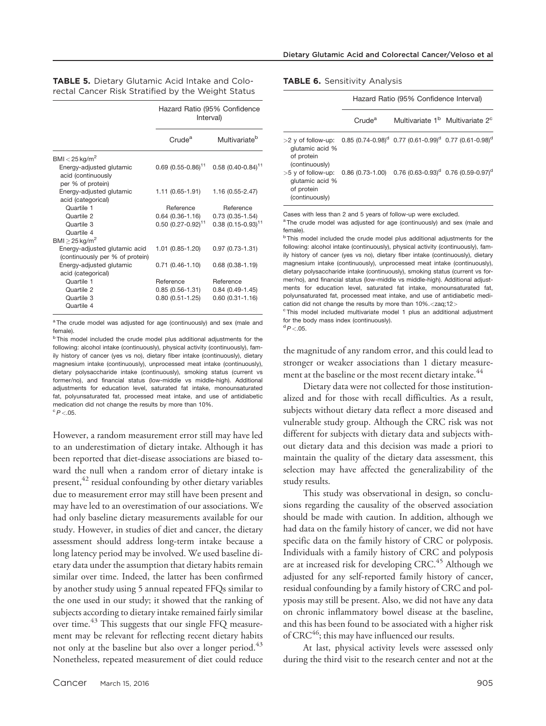|                                                                     | Hazard Ratio (95% Confidence<br>Interval) |                                  |
|---------------------------------------------------------------------|-------------------------------------------|----------------------------------|
|                                                                     | Crude <sup>a</sup>                        | Multivariate <sup>b</sup>        |
| $BMI < 25$ kg/m <sup>2</sup>                                        |                                           |                                  |
| Energy-adjusted glutamic<br>acid (continuously<br>per % of protein) | $0.69(0.55 - 0.86)^{11}$                  | $0.58$ (0.40-0.84) <sup>11</sup> |
| Energy-adjusted glutamic<br>acid (categorical)                      | $1.11(0.65 - 1.91)$                       | 1.16 (0.55-2.47)                 |
| Quartile 1                                                          | Reference                                 | Reference                        |
| Quartile 2                                                          | $0.64(0.36 - 1.16)$                       | $0.73(0.35-1.54)$                |
| Quartile 3<br>Quartile 4                                            | $0.50(0.27 - 0.92)^{11}$                  | $0.38$ (0.15-0.93) <sup>11</sup> |
| $BMI > 25$ kg/m <sup>2</sup>                                        |                                           |                                  |
| Energy-adjusted glutamic acid<br>(continuously per % of protein)    | 1.01 (0.85-1.20)                          | $0.97(0.73 - 1.31)$              |
| Energy-adjusted glutamic<br>acid (categorical)                      | $0.71(0.46-1.10)$                         | $0.68$ $(0.38 - 1.19)$           |
| Quartile 1                                                          | Reference                                 | Reference                        |
| Quartile 2                                                          | $0.85(0.56-1.31)$                         | $0.84(0.49-1.45)$                |
| Quartile 3<br>Quartile 4                                            | $0.80(0.51 - 1.25)$                       | $0.60(0.31 - 1.16)$              |

TABLE 5. Dietary Glutamic Acid Intake and Colorectal Cancer Risk Stratified by the Weight Status

<sup>a</sup> The crude model was adjusted for age (continuously) and sex (male and female).

<sup>b</sup> This model included the crude model plus additional adjustments for the following: alcohol intake (continuously), physical activity (continuously), family history of cancer (yes vs no), dietary fiber intake (continuously), dietary magnesium intake (continuously), unprocessed meat intake (continuously), dietary polysaccharide intake (continuously), smoking status (current vs former/no), and financial status (low-middle vs middle-high). Additional adjustments for education level, saturated fat intake, monounsaturated fat, polyunsaturated fat, processed meat intake, and use of antidiabetic medication did not change the results by more than 10%.  $\degree P < .05$ .

However, a random measurement error still may have led to an underestimation of dietary intake. Although it has been reported that diet-disease associations are biased toward the null when a random error of dietary intake is present,<sup>42</sup> residual confounding by other dietary variables due to measurement error may still have been present and may have led to an overestimation of our associations. We had only baseline dietary measurements available for our study. However, in studies of diet and cancer, the dietary assessment should address long-term intake because a long latency period may be involved. We used baseline dietary data under the assumption that dietary habits remain similar over time. Indeed, the latter has been confirmed by another study using 5 annual repeated FFQs similar to the one used in our study; it showed that the ranking of subjects according to dietary intake remained fairly similar over time.<sup>43</sup> This suggests that our single FFQ measurement may be relevant for reflecting recent dietary habits not only at the baseline but also over a longer period.<sup>43</sup> Nonetheless, repeated measurement of diet could reduce

|  |  |  |  | <b>TABLE 6.</b> Sensitivity Analysis |  |  |
|--|--|--|--|--------------------------------------|--|--|
|--|--|--|--|--------------------------------------|--|--|

|                                                                                                                                                                 | Hazard Ratio (95% Confidence Interval) |                                                                                             |  |  |
|-----------------------------------------------------------------------------------------------------------------------------------------------------------------|----------------------------------------|---------------------------------------------------------------------------------------------|--|--|
|                                                                                                                                                                 | Crude <sup>a</sup>                     | Multivariate 1 <sup>b</sup> Multivariate 2 <sup>c</sup>                                     |  |  |
| $>2$ y of follow-up:<br>glutamic acid %<br>of protein<br>(continuously)                                                                                         |                                        | $0.85$ (0.74-0.98) <sup>d</sup> 0.77 (0.61-0.99) <sup>d</sup> 0.77 (0.61-0.98) <sup>d</sup> |  |  |
| $>5$ y of follow-up:<br>glutamic acid %<br>of protein<br>(continuously)                                                                                         |                                        | $0.86$ (0.73-1.00) $0.76$ (0.63-0.93) <sup>d</sup> 0.76 (0.59-0.97) <sup>d</sup>            |  |  |
| Cases with less than 2 and 5 years of follow-up were excluded.<br><sup>a</sup> The crude model was adjusted for age (continuously) and sex (male and<br>female) |                                        |                                                                                             |  |  |

female). <sup>b</sup> This model included the crude model plus additional adjustments for the following: alcohol intake (continuously), physical activity (continuously), family history of cancer (yes vs no), dietary fiber intake (continuously), dietary magnesium intake (continuously), unprocessed meat intake (continuously), dietary polysaccharide intake (continuously), smoking status (current vs former/no), and financial status (low-middle vs middle-high). Additional adjustments for education level, saturated fat intake, monounsaturated fat, polyunsaturated fat, processed meat intake, and use of antidiabetic medication did not change the results by more than 10%.<zaq;12>

<sup>c</sup> This model included multivariate model 1 plus an additional adjustment for the body mass index (continuously).

 $\mathrm{d}P$  <.05.

the magnitude of any random error, and this could lead to stronger or weaker associations than 1 dietary measurement at the baseline or the most recent dietary intake.<sup>44</sup>

Dietary data were not collected for those institutionalized and for those with recall difficulties. As a result, subjects without dietary data reflect a more diseased and vulnerable study group. Although the CRC risk was not different for subjects with dietary data and subjects without dietary data and this decision was made a priori to maintain the quality of the dietary data assessment, this selection may have affected the generalizability of the study results.

This study was observational in design, so conclusions regarding the causality of the observed association should be made with caution. In addition, although we had data on the family history of cancer, we did not have specific data on the family history of CRC or polyposis. Individuals with a family history of CRC and polyposis are at increased risk for developing CRC.<sup>45</sup> Although we adjusted for any self-reported family history of cancer, residual confounding by a family history of CRC and polyposis may still be present. Also, we did not have any data on chronic inflammatory bowel disease at the baseline, and this has been found to be associated with a higher risk of  $CRC<sup>46</sup>$ ; this may have influenced our results.

At last, physical activity levels were assessed only during the third visit to the research center and not at the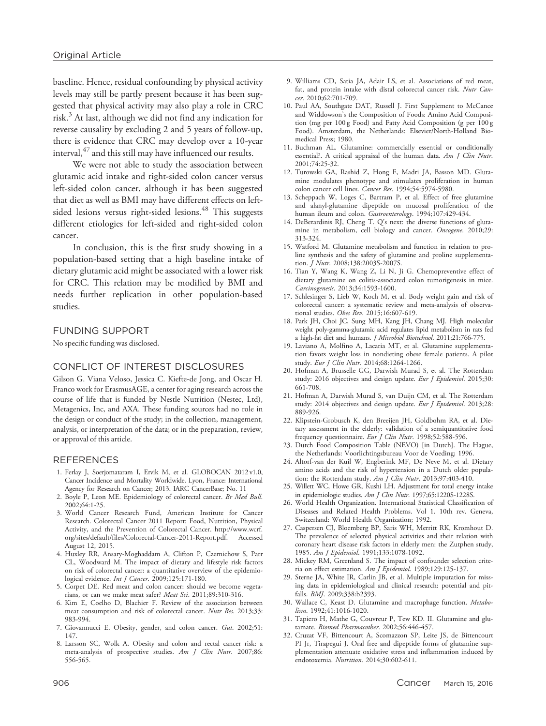baseline. Hence, residual confounding by physical activity levels may still be partly present because it has been suggested that physical activity may also play a role in CRC risk. $3$  At last, although we did not find any indication for reverse causality by excluding 2 and 5 years of follow-up, there is evidence that CRC may develop over a 10-year interval,  $47$  and this still may have influenced our results.

We were not able to study the association between glutamic acid intake and right-sided colon cancer versus left-sided colon cancer, although it has been suggested that diet as well as BMI may have different effects on leftsided lesions versus right-sided lesions.<sup>48</sup> This suggests different etiologies for left-sided and right-sided colon cancer.

In conclusion, this is the first study showing in a population-based setting that a high baseline intake of dietary glutamic acid might be associated with a lower risk for CRC. This relation may be modified by BMI and needs further replication in other population-based studies.

#### FUNDING SUPPORT

No specific funding was disclosed.

## CONFLICT OF INTEREST DISCLOSURES

Gilson G. Viana Veloso, Jessica C. Kiefte-de Jong, and Oscar H. Franco work for ErasmusAGE, a center for aging research across the course of life that is funded by Nestle Nutrition (Nestec, Ltd), Metagenics, Inc, and AXA. These funding sources had no role in the design or conduct of the study; in the collection, management, analysis, or interpretation of the data; or in the preparation, review, or approval of this article.

#### REFERENCES

- 1. Ferlay J, Soerjomataram I, Ervik M, et al. GLOBOCAN 2012 v1.0, Cancer Incidence and Mortality Worldwide. Lyon, France: International Agency for Research on Cancer; 2013. IARC CancerBase; No. 11
- 2. Boyle P, Leon ME. Epidemiology of colorectal cancer. Br Med Bull. 2002;64:1-25.
- 3. World Cancer Research Fund, American Institute for Cancer Research. Colorectal Cancer 2011 Report: Food, Nutrition, Physical Activity, and the Prevention of Colorectal Cancer. [http://www.wcrf.](http://www.wcrf.org/sites/default/files/Colorectal-Cancer-2011-Report.pdf) [org/sites/default/files/Colorectal-Cancer-2011-Report.pdf.](http://www.wcrf.org/sites/default/files/Colorectal-Cancer-2011-Report.pdf) Accessed August 12, 2015.
- 4. Huxley RR, Ansary-Moghaddam A, Clifton P, Czernichow S, Parr CL, Woodward M. The impact of dietary and lifestyle risk factors on risk of colorectal cancer: a quantitative overview of the epidemiological evidence. *Int J Cancer*.  $2009;125:171-180$ .
- 5. Corpet DE. Red meat and colon cancer: should we become vegetarians, or can we make meat safer? Meat Sci. 2011;89:310-316.
- 6. Kim E, Coelho D, Blachier F. Review of the association between meat consumption and risk of colorectal cancer. Nutr Res. 2013;33: 983-994.
- 7. Giovannucci E. Obesity, gender, and colon cancer. Gut. 2002;51: 147.
- 8. Larsson SC, Wolk A. Obesity and colon and rectal cancer risk: a meta-analysis of prospective studies. Am J Clin Nutr. 2007;86: 556-565.
- 9. Williams CD, Satia JA, Adair LS, et al. Associations of red meat, fat, and protein intake with distal colorectal cancer risk. Nutr Cancer. 2010;62:701-709.
- 10. Paul AA, Southgate DAT, Russell J. First Supplement to McCance and Widdowson's the Composition of Foods: Amino Acid Composition (mg per 100 g Food) and Fatty Acid Composition (g per 100 g Food). Amsterdam, the Netherlands: Elsevier/North-Holland Biomedical Press; 1980.
- 11. Buchman AL. Glutamine: commercially essential or conditionally essential?. A critical appraisal of the human data. Am J Clin Nutr. 2001;74:25-32.
- 12. Turowski GA, Rashid Z, Hong F, Madri JA, Basson MD. Glutamine modulates phenotype and stimulates proliferation in human colon cancer cell lines. Cancer Res. 1994;54:5974-5980.
- 13. Scheppach W, Loges C, Bartram P, et al. Effect of free glutamine and alanyl-glutamine dipeptide on mucosal proliferation of the human ileum and colon. Gastroenterology. 1994;107:429-434.
- 14. DeBerardinis RJ, Cheng T. Q's next: the diverse functions of glutamine in metabolism, cell biology and cancer. Oncogene. 2010;29: 313-324.
- 15. Watford M. Glutamine metabolism and function in relation to proline synthesis and the safety of glutamine and proline supplementation. J Nutr. 2008;138:2003S-2007S.
- 16. Tian Y, Wang K, Wang Z, Li N, Ji G. Chemopreventive effect of dietary glutamine on colitis-associated colon tumorigenesis in mice. Carcinogenesis. 2013;34:1593-1600.
- 17. Schlesinger S, Lieb W, Koch M, et al. Body weight gain and risk of colorectal cancer: a systematic review and meta-analysis of observational studies. Obes Rev. 2015;16:607-619.
- 18. Park JH, Choi JC, Sung MH, Kang JH, Chang MJ. High molecular weight poly-gamma-glutamic acid regulates lipid metabolism in rats fed a high-fat diet and humans. J Microbiol Biotechnol. 2011;21:766-775.
- 19. Laviano A, Molfino A, Lacaria MT, et al. Glutamine supplementation favors weight loss in nondieting obese female patients. A pilot study. Eur J Clin Nutr. 2014;68:1264-1266.
- 20. Hofman A, Brusselle GG, Darwish Murad S, et al. The Rotterdam study: 2016 objectives and design update. Eur J Epidemiol. 2015;30: 661-708.
- 21. Hofman A, Darwish Murad S, van Duijn CM, et al. The Rotterdam study: 2014 objectives and design update. Eur J Epidemiol. 2013;28: 889-926.
- 22. Klipstein-Grobusch K, den Breeijen JH, Goldbohm RA, et al. Dietary assessment in the elderly: validation of a semiquantitative food frequency questionnaire. Eur J Clin Nutr. 1998;52:588-596.
- 23. Dutch Food Composition Table (NEVO) [in Dutch]. The Hague, the Netherlands: Voorlichtingsbureau Voor de Voeding; 1996.
- 24. Altorf-van der Kuil W, Engberink MF, De Neve M, et al. Dietary amino acids and the risk of hypertension in a Dutch older population: the Rotterdam study. Am J Clin Nutr. 2013;97:403-410.
- 25. Willett WC, Howe GR, Kushi LH. Adjustment for total energy intake in epidemiologic studies. Am J Clin Nutr. 1997;65:1220S-1228S.
- 26. World Health Organization. International Statistical Classification of Diseases and Related Health Problems. Vol 1. 10th rev. Geneva, Switzerland: World Health Organization; 1992.
- 27. Caspersen CJ, Bloemberg BP, Saris WH, Merritt RK, Kromhout D. The prevalence of selected physical activities and their relation with coronary heart disease risk factors in elderly men: the Zutphen study, 1985. Am J Epidemiol. 1991;133:1078-1092.
- 28. Mickey RM, Greenland S. The impact of confounder selection criteria on effect estimation. Am J Epidemiol. 1989;129:125-137.
- 29. Sterne JA, White IR, Carlin JB, et al. Multiple imputation for missing data in epidemiological and clinical research: potential and pitfalls. BMJ. 2009;338:b2393.
- 30. Wallace C, Keast D. Glutamine and macrophage function. Metabolism. 1992;41:1016-1020.
- 31. Tapiero H, Mathe G, Couvreur P, Tew KD. II. Glutamine and glutamate. Biomed Pharmacother. 2002;56:446-457.
- 32. Cruzat VF, Bittencourt A, Scomazzon SP, Leite JS, de Bittencourt PI Jr, Tirapegui J. Oral free and dipeptide forms of glutamine supplementation attenuate oxidative stress and inflammation induced by endotoxemia. Nutrition. 2014;30:602-611.